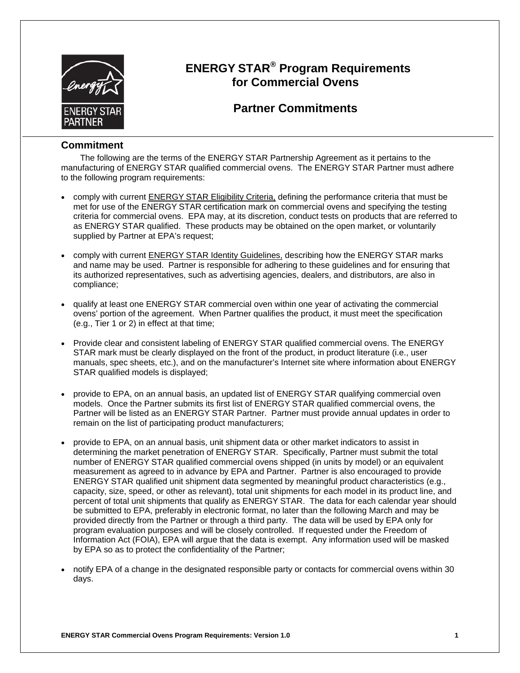

### **ENERGY STAR® Program Requirements for Commercial Ovens**

### **Partner Commitments**

### **Commitment**

The following are the terms of the ENERGY STAR Partnership Agreement as it pertains to the manufacturing of ENERGY STAR qualified commercial ovens. The ENERGY STAR Partner must adhere to the following program requirements:

- comply with current ENERGY STAR Eligibility Criteria, defining the performance criteria that must be met for use of the ENERGY STAR certification mark on commercial ovens and specifying the testing criteria for commercial ovens. EPA may, at its discretion, conduct tests on products that are referred to as ENERGY STAR qualified. These products may be obtained on the open market, or voluntarily supplied by Partner at EPA's request;
- comply with current ENERGY STAR Identity Guidelines, describing how the ENERGY STAR marks and name may be used. Partner is responsible for adhering to these guidelines and for ensuring that its authorized representatives, such as advertising agencies, dealers, and distributors, are also in compliance;
- qualify at least one ENERGY STAR commercial oven within one year of activating the commercial ovens' portion of the agreement. When Partner qualifies the product, it must meet the specification (e.g., Tier 1 or 2) in effect at that time;
- Provide clear and consistent labeling of ENERGY STAR qualified commercial ovens. The ENERGY STAR mark must be clearly displayed on the front of the product, in product literature (i.e., user manuals, spec sheets, etc.), and on the manufacturer's Internet site where information about ENERGY STAR qualified models is displayed;
- provide to EPA, on an annual basis, an updated list of ENERGY STAR qualifying commercial oven models. Once the Partner submits its first list of ENERGY STAR qualified commercial ovens, the Partner will be listed as an ENERGY STAR Partner. Partner must provide annual updates in order to remain on the list of participating product manufacturers;
- provide to EPA, on an annual basis, unit shipment data or other market indicators to assist in determining the market penetration of ENERGY STAR. Specifically, Partner must submit the total number of ENERGY STAR qualified commercial ovens shipped (in units by model) or an equivalent measurement as agreed to in advance by EPA and Partner. Partner is also encouraged to provide ENERGY STAR qualified unit shipment data segmented by meaningful product characteristics (e.g., capacity, size, speed, or other as relevant), total unit shipments for each model in its product line, and percent of total unit shipments that qualify as ENERGY STAR. The data for each calendar year should be submitted to EPA, preferably in electronic format, no later than the following March and may be provided directly from the Partner or through a third party. The data will be used by EPA only for program evaluation purposes and will be closely controlled. If requested under the Freedom of Information Act (FOIA), EPA will argue that the data is exempt. Any information used will be masked by EPA so as to protect the confidentiality of the Partner;
- notify EPA of a change in the designated responsible party or contacts for commercial ovens within 30 days.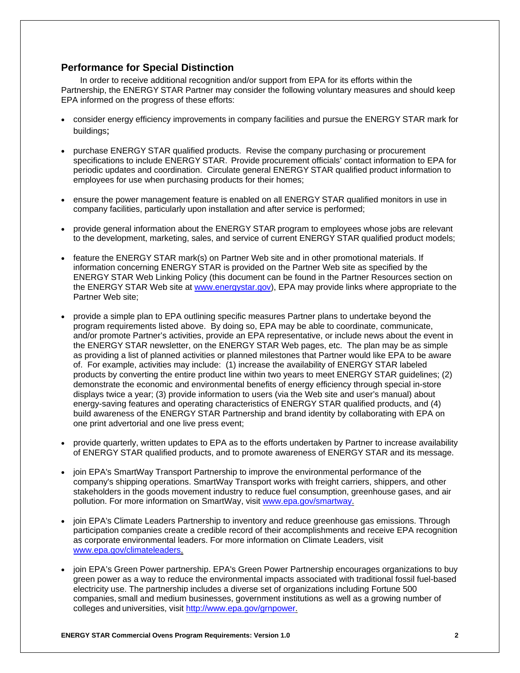#### **Performance for Special Distinction**

In order to receive additional recognition and/or support from EPA for its efforts within the Partnership, the ENERGY STAR Partner may consider the following voluntary measures and should keep EPA informed on the progress of these efforts:

- consider energy efficiency improvements in company facilities and pursue the ENERGY STAR mark for buildings;
- purchase ENERGY STAR qualified products. Revise the company purchasing or procurement specifications to include ENERGY STAR. Provide procurement officials' contact information to EPA for periodic updates and coordination. Circulate general ENERGY STAR qualified product information to employees for use when purchasing products for their homes;
- ensure the power management feature is enabled on all ENERGY STAR qualified monitors in use in company facilities, particularly upon installation and after service is performed;
- provide general information about the ENERGY STAR program to employees whose jobs are relevant to the development, marketing, sales, and service of current ENERGY STAR qualified product models;
- feature the ENERGY STAR mark(s) on Partner Web site and in other promotional materials. If information concerning ENERGY STAR is provided on the Partner Web site as specified by the ENERGY STAR Web Linking Policy (this document can be found in the Partner Resources section on the ENERGY STAR Web site at www.energystar.gov), EPA may provide links where appropriate to the Partner Web site;
- provide a simple plan to EPA outlining specific measures Partner plans to undertake beyond the program requirements listed above. By doing so, EPA may be able to coordinate, communicate, and/or promote Partner's activities, provide an EPA representative, or include news about the event in the ENERGY STAR newsletter, on the ENERGY STAR Web pages, etc. The plan may be as simple as providing a list of planned activities or planned milestones that Partner would like EPA to be aware of. For example, activities may include: (1) increase the availability of ENERGY STAR labeled products by converting the entire product line within two years to meet ENERGY STAR guidelines; (2) demonstrate the economic and environmental benefits of energy efficiency through special in-store displays twice a year; (3) provide information to users (via the Web site and user's manual) about energy-saving features and operating characteristics of ENERGY STAR qualified products, and (4) build awareness of the ENERGY STAR Partnership and brand identity by collaborating with EPA on one print advertorial and one live press event;
- provide quarterly, written updates to EPA as to the efforts undertaken by Partner to increase availability of ENERGY STAR qualified products, and to promote awareness of ENERGY STAR and its message.
- join EPA's SmartWay Transport Partnership to improve the environmental performance of the company's shipping operations. SmartWay Transport works with freight carriers, shippers, and other stakeholders in the goods movement industry to reduce fuel consumption, greenhouse gases, and air pollution. For more information on SmartWay, visit www.epa.gov/smartway.
- join EPA's Climate Leaders Partnership to inventory and reduce greenhouse gas emissions. Through participation companies create a credible record of their accomplishments and receive EPA recognition as corporate environmental leaders. For more information on Climate Leaders, visit www.epa.gov/climateleaders.
- join EPA's Green Power partnership. EPA's Green Power Partnership encourages organizations to buy green power as a way to reduce the environmental impacts associated with traditional fossil fuel-based electricity use. The partnership includes a diverse set of organizations including Fortune 500 companies, small and medium businesses, government institutions as well as a growing number of colleges and universities, visit http://www.epa.gov/grnpower.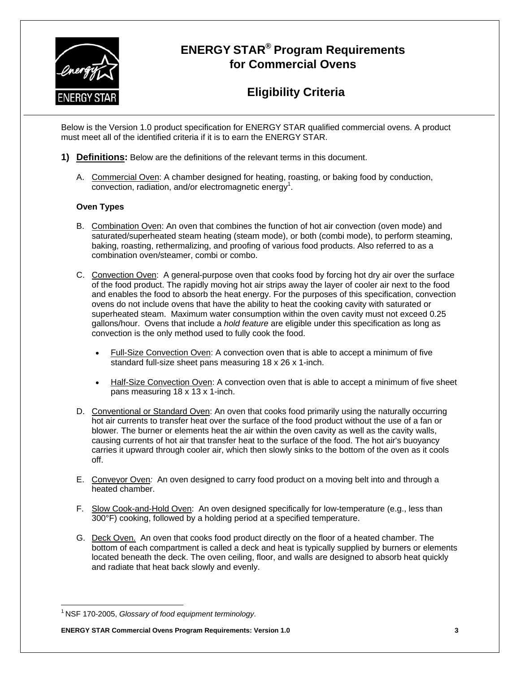

# **ENERGY STAR® Program Requirements for Commercial Ovens**

## **Eligibility Criteria**

Below is the Version 1.0 product specification for ENERGY STAR qualified commercial ovens. A product must meet all of the identified criteria if it is to earn the ENERGY STAR.

- **1) Definitions:** Below are the definitions of the relevant terms in this document.
	- A. Commercial Oven: A chamber designed for heating, roasting, or baking food by conduction,  $\overline{\text{convection}}$ , radiation, and/or electromagnetic energy<sup>1</sup>.

#### **Oven Types**

- B. Combination Oven: An oven that combines the function of hot air convection (oven mode) and saturated/superheated steam heating (steam mode), or both (combi mode), to perform steaming, baking, roasting, rethermalizing, and proofing of various food products. Also referred to as a combination oven/steamer, combi or combo.
- C. Convection Oven: A general-purpose oven that cooks food by forcing hot dry air over the surface of the food product. The rapidly moving hot air strips away the layer of cooler air next to the food and enables the food to absorb the heat energy. For the purposes of this specification, convection ovens do not include ovens that have the ability to heat the cooking cavity with saturated or superheated steam. Maximum water consumption within the oven cavity must not exceed 0.25 gallons/hour. Ovens that include a *hold feature* are eligible under this specification as long as convection is the only method used to fully cook the food.
	- Full-Size Convection Oven: A convection oven that is able to accept a minimum of five standard full-size sheet pans measuring 18 x 26 x 1-inch.
	- Half-Size Convection Oven: A convection oven that is able to accept a minimum of five sheet pans measuring 18 x 13 x 1-inch.
- D. Conventional or Standard Oven: An oven that cooks food primarily using the naturally occurring hot air currents to transfer heat over the surface of the food product without the use of a fan or blower*.* The burner or elements heat the air within the oven cavity as well as the cavity walls, causing currents of hot air that transfer heat to the surface of the food. The hot air's buoyancy carries it upward through cooler air, which then slowly sinks to the bottom of the oven as it cools off.
- E. Conveyor Oven*:* An oven designed to carry food product on a moving belt into and through a heated chamber.
- F. Slow Cook-and-Hold Oven: An oven designed specifically for low-temperature (e.g., less than 300°F) cooking, followed by a holding period at a specified temperature.
- G. Deck Oven. An oven that cooks food product directly on the floor of a heated chamber. The bottom of each compartment is called a deck and heat is typically supplied by burners or elements located beneath the deck. The oven ceiling, floor, and walls are designed to absorb heat quickly and radiate that heat back slowly and evenly.

 $\overline{a}$ 

**ENERGY STAR Commercial Ovens Program Requirements: Version 1.0 3** 

<sup>1</sup> NSF 170-2005, *Glossary of food equipment terminology*.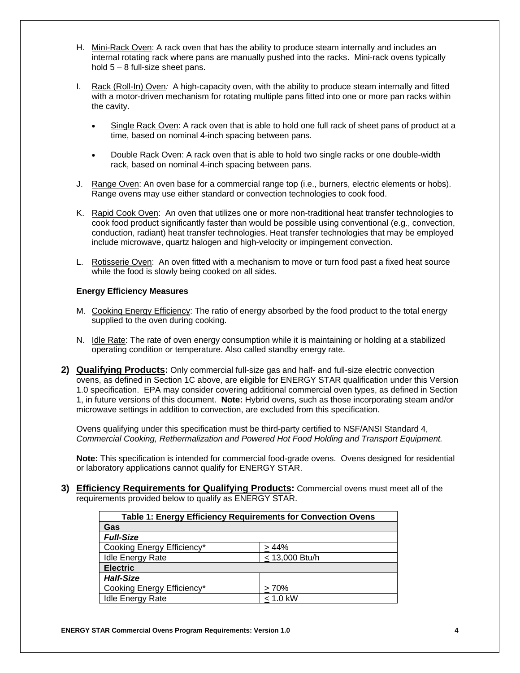- H. Mini-Rack Oven: A rack oven that has the ability to produce steam internally and includes an internal rotating rack where pans are manually pushed into the racks. Mini-rack ovens typically hold 5 – 8 full-size sheet pans.
- I. Rack (Roll-In) Oven*:* A high-capacity oven, with the ability to produce steam internally and fitted with a motor-driven mechanism for rotating multiple pans fitted into one or more pan racks within the cavity.
	- Single Rack Oven: A rack oven that is able to hold one full rack of sheet pans of product at a time, based on nominal 4-inch spacing between pans.
	- Double Rack Oven: A rack oven that is able to hold two single racks or one double-width rack, based on nominal 4-inch spacing between pans.
- J. Range Oven: An oven base for a commercial range top (i.e., burners, electric elements or hobs). Range ovens may use either standard or convection technologies to cook food.
- K. Rapid Cook Oven: An oven that utilizes one or more non-traditional heat transfer technologies to cook food product significantly faster than would be possible using conventional (e.g., convection, conduction, radiant) heat transfer technologies. Heat transfer technologies that may be employed include microwave, quartz halogen and high-velocity or impingement convection.
- L. Rotisserie Oven: An oven fitted with a mechanism to move or turn food past a fixed heat source while the food is slowly being cooked on all sides.

#### **Energy Efficiency Measures**

- M. Cooking Energy Efficiency: The ratio of energy absorbed by the food product to the total energy supplied to the oven during cooking.
- N. Idle Rate: The rate of oven energy consumption while it is maintaining or holding at a stabilized operating condition or temperature. Also called standby energy rate.
- **2) Qualifying Products:** Only commercial full-size gas and half- and full-size electric convection ovens, as defined in Section 1C above, are eligible for ENERGY STAR qualification under this Version 1.0 specification. EPA may consider covering additional commercial oven types, as defined in Section 1, in future versions of this document. **Note:** Hybrid ovens, such as those incorporating steam and/or microwave settings in addition to convection, are excluded from this specification.

Ovens qualifying under this specification must be third-party certified to NSF/ANSI Standard 4, *Commercial Cooking, Rethermalization and Powered Hot Food Holding and Transport Equipment.* 

**Note:** This specification is intended for commercial food-grade ovens. Ovens designed for residential or laboratory applications cannot qualify for ENERGY STAR.

**3) Efficiency Requirements for Qualifying Products:** Commercial ovens must meet all of the requirements provided below to qualify as ENERGY STAR.

| Table 1: Energy Efficiency Requirements for Convection Ovens |                |
|--------------------------------------------------------------|----------------|
| Gas                                                          |                |
| <b>Full-Size</b>                                             |                |
| Cooking Energy Efficiency*                                   | >44%           |
| <b>Idle Energy Rate</b>                                      | < 13,000 Btu/h |
| <b>Electric</b>                                              |                |
| <b>Half-Size</b>                                             |                |
| Cooking Energy Efficiency*                                   | >70%           |
| <b>Idle Energy Rate</b>                                      | $< 1.0$ kW     |